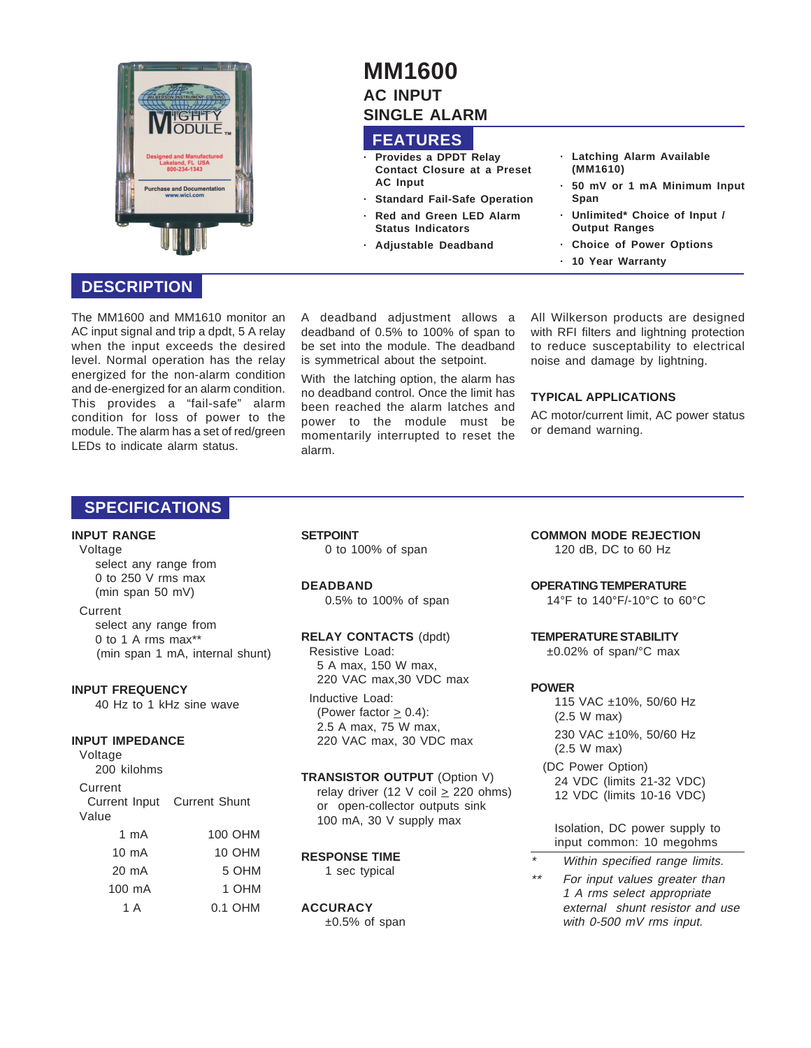

# **MM1600 AC INPUT SINGLE ALARM**

## **FEATURES**

- **· Provides a DPDT Relay Contact Closure at a Preset AC Input**
- **· Standard Fail-Safe Operation**
- **· Red and Green LED Alarm Status Indicators**
- **· Adjustable Deadband**
- **· Latching Alarm Available (MM1610)**
- **· 50 mV or 1 mA Minimum Input Span**
- **· Unlimited\* Choice of Input / Output Ranges**
- **· Choice of Power Options**
- **· 10 Year Warranty**

## **DESCRIPTION**

The MM1600 and MM1610 monitor an AC input signal and trip a dpdt, 5 A relay when the input exceeds the desired level. Normal operation has the relay energized for the non-alarm condition and de-energized for an alarm condition. This provides a "fail-safe" alarm condition for loss of power to the module. The alarm has a set of red/green LEDs to indicate alarm status.

A deadband adjustment allows a deadband of 0.5% to 100% of span to be set into the module. The deadband is symmetrical about the setpoint.

With the latching option, the alarm has no deadband control. Once the limit has been reached the alarm latches and power to the module must be momentarily interrupted to reset the alarm.

All Wilkerson products are designed with RFI filters and lightning protection to reduce susceptability to electrical noise and damage by lightning.

#### **TYPICAL APPLICATIONS**

AC motor/current limit, AC power status or demand warning.

## **SPECIFICATIONS**

#### **INPUT RANGE**

Voltage

select any range from 0 to 250 V rms max (min span 50 mV)

#### Current

select any range from 0 to 1 A rms max\*\* (min span 1 mA, internal shunt)

#### **INPUT FREQUENCY**

40 Hz to 1 kHz sine wave

#### **INPUT IMPEDANCE**

Voltage 200 kilohms Current Current Input Current Shunt

| Value           |               |
|-----------------|---------------|
| 1 mA            | 100 OHM       |
| $10 \text{ mA}$ | <b>10 OHM</b> |
| 20 mA           | 5 OHM         |
| 100 mA          | 1 OHM         |
| 1 A             | 0.1 OHM       |
|                 |               |

**SETPOINT** 0 to 100% of span

#### **DEADBAND**

0.5% to 100% of span

#### **RELAY CONTACTS** (dpdt)

Resistive Load: 5 A max, 150 W max, 220 VAC max,30 VDC max

Inductive Load: (Power factor  $\geq$  0.4): 2.5 A max, 75 W max, 220 VAC max, 30 VDC max

#### **TRANSISTOR OUTPUT** (Option V)

relay driver (12 V coil  $\geq$  220 ohms) or open-collector outputs sink 100 mA, 30 V supply max

## **RESPONSE TIME**

1 sec typical

#### **ACCURACY**

 $±0.5%$  of span

**COMMON MODE REJECTION** 120 dB, DC to 60 Hz

### **OPERATING TEMPERATURE**

14°F to 140°F/-10°C to 60°C

#### **TEMPERATURE STABILITY**

±0.02% of span/°C max

### **POWER**

- 115 VAC ±10%, 50/60 Hz (2.5 W max) 230 VAC ±10%, 50/60 Hz (2.5 W max)
- (DC Power Option) 24 VDC (limits 21-32 VDC) 12 VDC (limits 10-16 VDC)

Isolation, DC power supply to input common: 10 megohms

- \*Within specified range limits.
- \*\* For input values greater than 1 A rms select appropriate external shunt resistor and use with 0-500 mV rms input.